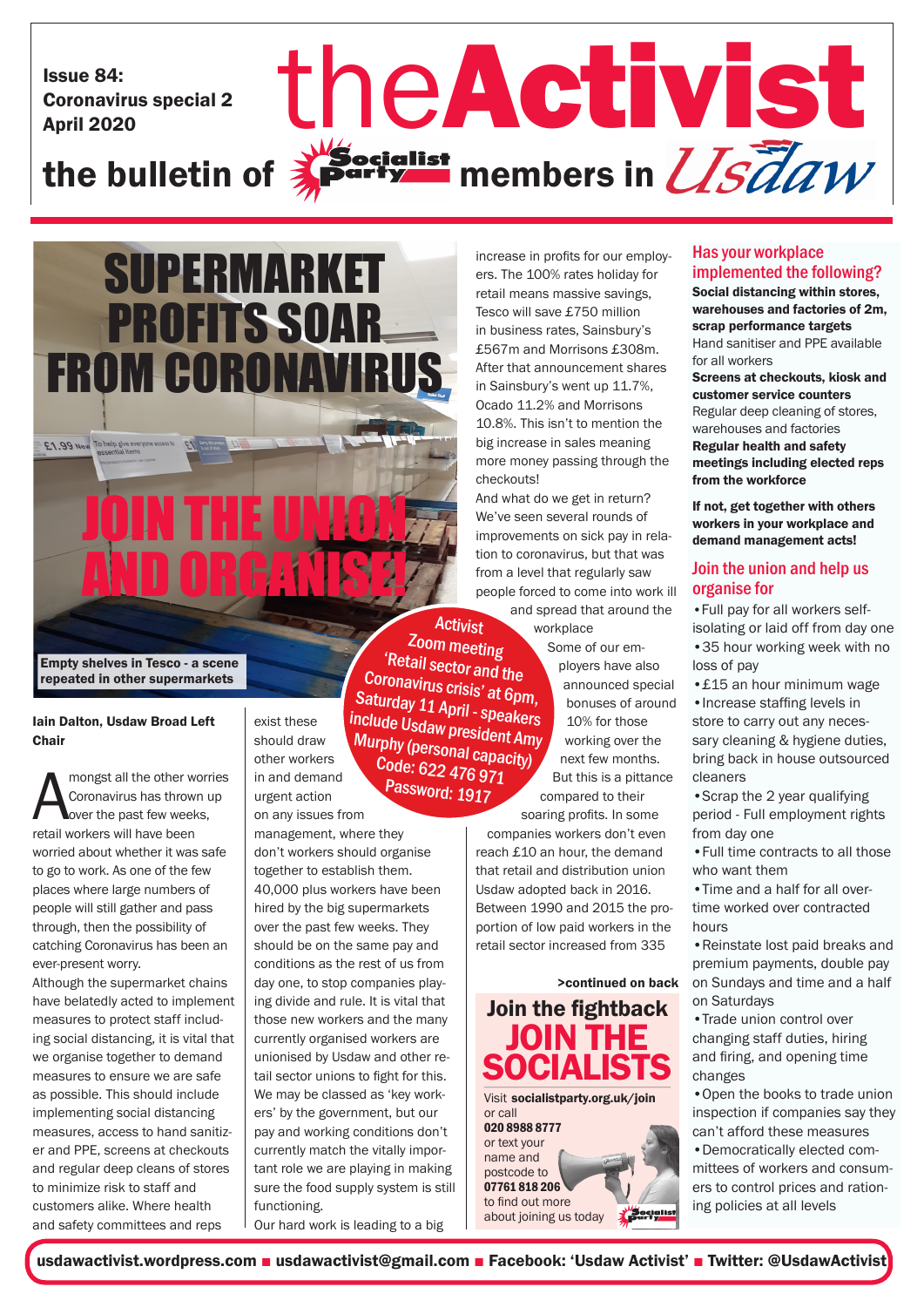Issue 84: Coronavirus special 2

# Issue 84:<br>Coronavirus special 2<br>the bulletin of **Activity** members in *USTaw*  $\sum_{k}^{\text{Nocialist}}$  members in  $\overline{\text{USd}}\textit{d}W$



repeated in other supermarkets

#### Iain Dalton, Usdaw Broad Left **Chair**

**A** mongst all the other worker that the other workers will have been mongst all the other worries Coronavirus has thrown up over the past few weeks, worried about whether it was safe to go to work. As one of the few places where large numbers of people will still gather and pass through, then the possibility of catching Coronavirus has been an ever-present worry.

Although the supermarket chains have belatedly acted to implement measures to protect staff including social distancing, it is vital that we organise together to demand measures to ensure we are safe as possible. This should include implementing social distancing measures, access to hand sanitizer and PPE, screens at checkouts and regular deep cleans of stores to minimize risk to staff and customers alike. Where health and safety committees and reps

exist these should draw other workers in and demand urgent action

on any issues from management, where they don't workers should organise together to establish them. 40,000 plus workers have been hired by the big supermarkets over the past few weeks. They should be on the same pay and conditions as the rest of us from day one, to stop companies playing divide and rule. It is vital that those new workers and the many currently organised workers are unionised by Usdaw and other retail sector unions to fight for this. We may be classed as 'key workers' by the government, but our pay and working conditions don't currently match the vitally important role we are playing in making sure the food supply system is still functioning.

Our hard work is leading to a big

increase in profits for our employers. The 100% rates holiday for retail means massive savings, Tesco will save £750 million in business rates, Sainsbury's £567m and Morrisons £308m. After that announcement shares in Sainsbury's went up 11.7%, Ocado 11.2% and Morrisons 10.8%. This isn't to mention the big increase in sales meaning more money passing through the checkouts!

And what do we get in return? We've seen several rounds of improvements on sick pay in relation to coronavirus, but that was from a level that regularly saw people forced to come into work ill

and spread that around the workplace

Some of our employers have also announced special bonuses of around 10% for those working over the next few months. But this is a pittance compared to their Zoom meeting 'Retail sector and the Coronavirus crisis' at 6pm, Saturday 11 April - speakers include Usdaw president Amy Murphy (personal capacity) Code: 622 476 971 Password: 1917

soaring profits. In some companies workers don't even reach £10 an hour, the demand that retail and distribution union Usdaw adopted back in 2016. Between 1990 and 2015 the proportion of low paid workers in the retail sector increased from 335

>continued on back Join the fightback JOIN THE **SOCIALISTS** Visit socialistparty.org.uk/join or call 020 8988 8777 or text your name and postcode to 07761 818 206 to find out more Socialist about joining us today

### Has your workplace implemented the following?

Social distancing within stores, warehouses and factories of 2m, scrap performance targets Hand sanitiser and PPE available for all workers Screens at checkouts, kiosk and customer service counters Regular deep cleaning of stores, warehouses and factories Regular health and safety meetings including elected reps from the workforce

If not, get together with others workers in your workplace and demand management acts!

### Join the union and help us organise for

•Full pay for all workers selfisolating or laid off from day one •35 hour working week with no loss of pay

•£15 an hour minimum wage •Increase staffing levels in

store to carry out any necessary cleaning & hygiene duties. bring back in house outsourced cleaners

•Scrap the 2 year qualifying period - Full employment rights from day one

•Full time contracts to all those who want them

•Time and a half for all overtime worked over contracted hours

•Reinstate lost paid breaks and premium payments, double pay on Sundays and time and a half on Saturdays

•Trade union control over changing staff duties, hiring and firing, and opening time changes

•Open the books to trade union inspection if companies say they can't afford these measures

•Democratically elected committees of workers and consumers to control prices and rationing policies at all levels

usdawactivist.wordpress.com ■ usdawactivist@gmail.com ■ Facebook: 'Usdaw Activist' ■ Twitter: @UsdawActivist